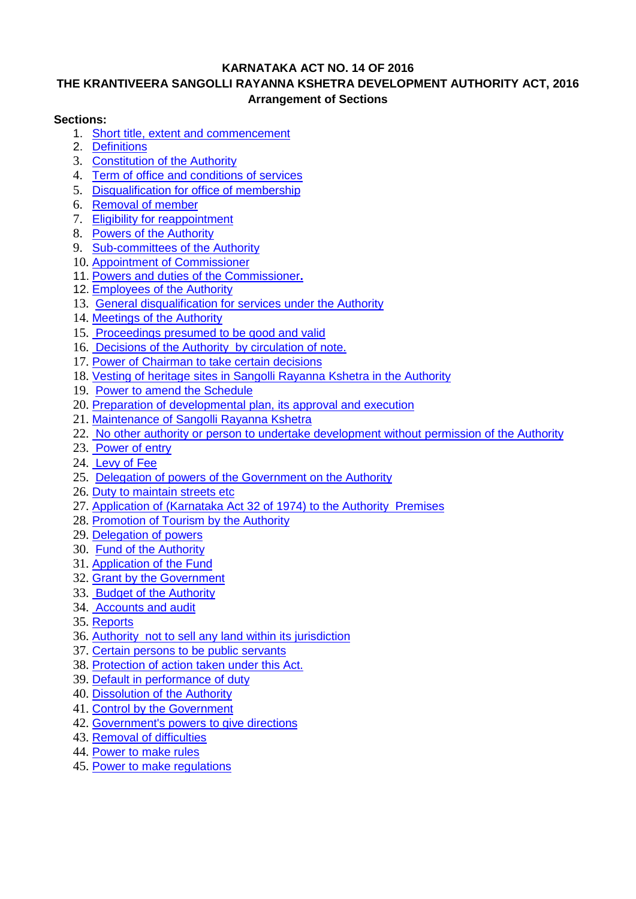### **KARNATAKA ACT NO. 14 OF 2016**

## **THE KRANTIVEERA SANGOLLI RAYANNA KSHETRA DEVELOPMENT AUTHORITY ACT, 2016 Arrangement of Sections**

### **Sections:**

- 1. [Short title, extent and commencement](#page-2-0)
- 2. [Definitions](#page-2-1)
- 3. [Constitution of the Authority](#page-3-0)
- 4. [Term of office and conditions of services](#page-3-1)
- 5. [Disqualification for office of membership](#page-4-0)
- 6. [Removal of member](#page-4-1)
- 7. [Eligibility for reappointment](#page-4-2)
- 8. [Powers of the Authority](#page-4-3)
- 9. [Sub-committees of the Authority](#page-4-4)
- 10. [Appointment of Commissioner](#page-5-0)
- 11. [Powers and duties of the Commissioner](#page-5-1)**.**
- 12. [Employees of the Authority](#page-5-2)
- 13. [General disqualification for services under the Authority](#page-5-3)
- 14. [Meetings of the Authority](#page-5-4)
- 15. [Proceedings presumed to be good and valid](#page-6-0)
- 16. [Decisions of the Authority by circulation of](#page-6-1) note.
- 17. [Power of Chairman to take certain decisions](#page-6-2)
- 18. [Vesting of heritage sites in Sangolli Rayanna Kshetra in the Authority](#page-6-3)
- 19. [Power to amend the Schedule](#page-7-0)
- 20. [Preparation of developmental plan, its approval and execution](#page-7-1)
- 21. [Maintenance of Sangolli Rayanna Kshetra](#page-8-0)
- 22. [No other authority or person to undertake development without permission of the Authority](#page-8-1)
- 23. [Power of entry](#page-8-2)
- 24. [Levy of Fee](#page-8-3)
- 25. [Delegation of powers of the Government on the Authority](#page-9-0)
- 26. [Duty to maintain streets etc](#page-9-1)
- 27. [Application of \(Karnataka Act 32 of 1974\) to the Authority Premises](#page-9-2)
- 28. [Promotion of Tourism by the Authority](#page-9-3)
- 29. [Delegation of powers](#page-9-4)
- 30. [Fund of the Authority](#page-9-5)
- 31. [Application of the Fund](#page-10-0)
- 32. [Grant by the Government](#page-10-1)
- 33. [Budget of the Authority](#page-10-2)
- 34. [Accounts and audit](#page-10-3)
- 35. [Reports](#page-10-4)
- 36. [Authority not to sell any land within its jurisdiction](#page-11-0)
- 37. [Certain persons to be public servants](#page-11-1)
- 38. [Protection of action taken under this Act.](#page-11-2)
- 39. [Default in performance of duty](#page-11-3)
- 40. [Dissolution of the Authority](#page-11-4)
- 41. [Control by the Government](#page-11-5)
- 42. [Government's powers to give directions](#page-11-6)
- 43. [Removal of difficulties](#page-11-7)
- 44. [Power to make rules](#page-11-8)
- 45. [Power to make regulations](#page-12-0)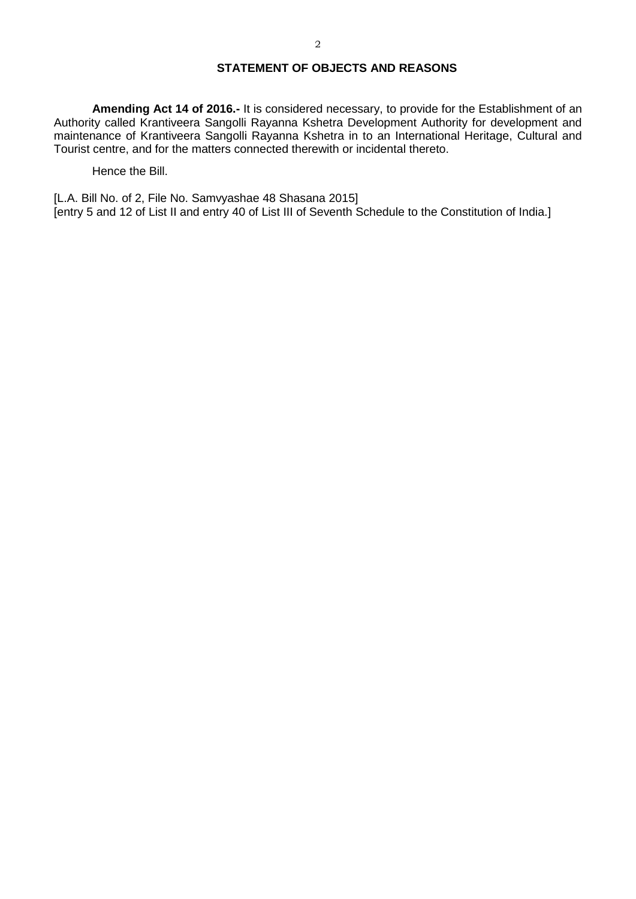### **STATEMENT OF OBJECTS AND REASONS**

**Amending Act 14 of 2016.-** It is considered necessary, to provide for the Establishment of an Authority called Krantiveera Sangolli Rayanna Kshetra Development Authority for development and maintenance of Krantiveera Sangolli Rayanna Kshetra in to an International Heritage, Cultural and Tourist centre, and for the matters connected therewith or incidental thereto.

Hence the Bill.

[L.A. Bill No. of 2, File No. Samvyashae 48 Shasana 2015] [entry 5 and 12 of List II and entry 40 of List III of Seventh Schedule to the Constitution of India.]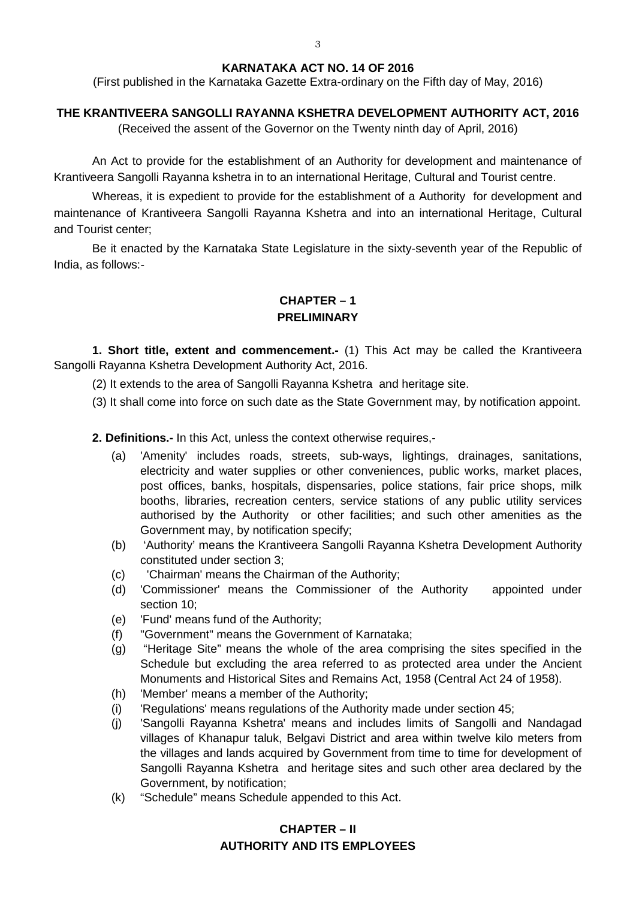### **KARNATAKA ACT NO. 14 OF 2016**

(First published in the Karnataka Gazette Extra-ordinary on the Fifth day of May, 2016)

### **THE KRANTIVEERA SANGOLLI RAYANNA KSHETRA DEVELOPMENT AUTHORITY ACT, 2016**

(Received the assent of the Governor on the Twenty ninth day of April, 2016)

An Act to provide for the establishment of an Authority for development and maintenance of Krantiveera Sangolli Rayanna kshetra in to an international Heritage, Cultural and Tourist centre.

Whereas, it is expedient to provide for the establishment of a Authority for development and maintenance of Krantiveera Sangolli Rayanna Kshetra and into an international Heritage, Cultural and Tourist center;

Be it enacted by the Karnataka State Legislature in the sixty-seventh year of the Republic of India, as follows:-

## **CHAPTER – 1 PRELIMINARY**

**1. Short title, extent and commencement.-** (1) This Act may be called the Krantiveera Sangolli Rayanna Kshetra Development Authority Act, 2016.

<span id="page-2-0"></span>(2) It extends to the area of Sangolli Rayanna Kshetra and heritage site.

(3) It shall come into force on such date as the State Government may, by notification appoint.

<span id="page-2-1"></span>**2. Definitions.-** In this Act, unless the context otherwise requires,-

- (a) 'Amenity' includes roads, streets, sub-ways, lightings, drainages, sanitations, electricity and water supplies or other conveniences, public works, market places, post offices, banks, hospitals, dispensaries, police stations, fair price shops, milk booths, libraries, recreation centers, service stations of any public utility services authorised by the Authority or other facilities; and such other amenities as the Government may, by notification specify;
- (b) 'Authority' means the Krantiveera Sangolli Rayanna Kshetra Development Authority constituted under section 3;
- (c) 'Chairman' means the Chairman of the Authority;
- (d) 'Commissioner' means the Commissioner of the Authority appointed under section 10;
- (e) 'Fund' means fund of the Authority;
- (f) "Government" means the Government of Karnataka;
- (g) "Heritage Site" means the whole of the area comprising the sites specified in the Schedule but excluding the area referred to as protected area under the Ancient Monuments and Historical Sites and Remains Act, 1958 (Central Act 24 of 1958).
- (h) 'Member' means a member of the Authority;
- (i) 'Regulations' means regulations of the Authority made under section 45;
- (j) 'Sangolli Rayanna Kshetra' means and includes limits of Sangolli and Nandagad villages of Khanapur taluk, Belgavi District and area within twelve kilo meters from the villages and lands acquired by Government from time to time for development of Sangolli Rayanna Kshetra and heritage sites and such other area declared by the Government, by notification;
- (k) "Schedule" means Schedule appended to this Act.

## **CHAPTER – II AUTHORITY AND ITS EMPLOYEES**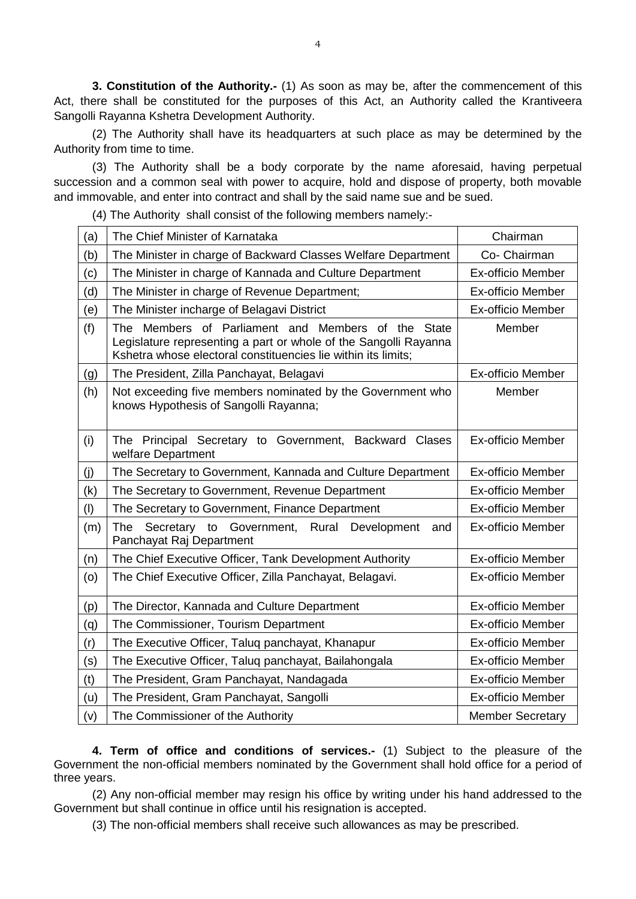<span id="page-3-0"></span>**3. Constitution of the Authority.-** (1) As soon as may be, after the commencement of this Act, there shall be constituted for the purposes of this Act, an Authority called the Krantiveera Sangolli Rayanna Kshetra Development Authority.

(2) The Authority shall have its headquarters at such place as may be determined by the Authority from time to time.

(3) The Authority shall be a body corporate by the name aforesaid, having perpetual succession and a common seal with power to acquire, hold and dispose of property, both movable and immovable, and enter into contract and shall by the said name sue and be sued.

(4) The Authority shall consist of the following members namely:-

| (a) | The Chief Minister of Karnataka                                                                                                                                                                             | Chairman                 |  |  |
|-----|-------------------------------------------------------------------------------------------------------------------------------------------------------------------------------------------------------------|--------------------------|--|--|
| (b) | The Minister in charge of Backward Classes Welfare Department                                                                                                                                               | Co- Chairman             |  |  |
| (c) | The Minister in charge of Kannada and Culture Department                                                                                                                                                    | <b>Ex-officio Member</b> |  |  |
| (d) | The Minister in charge of Revenue Department;                                                                                                                                                               | <b>Ex-officio Member</b> |  |  |
| (e) | The Minister incharge of Belagavi District                                                                                                                                                                  | <b>Ex-officio Member</b> |  |  |
| (f) | The Members of Parliament and Members of the<br>Member<br><b>State</b><br>Legislature representing a part or whole of the Sangolli Rayanna<br>Kshetra whose electoral constituencies lie within its limits; |                          |  |  |
| (g) | <b>Ex-officio Member</b><br>The President, Zilla Panchayat, Belagavi                                                                                                                                        |                          |  |  |
| (h) | Not exceeding five members nominated by the Government who<br>Member<br>knows Hypothesis of Sangolli Rayanna;                                                                                               |                          |  |  |
| (i) | The Principal Secretary to Government, Backward Clases<br>welfare Department                                                                                                                                | <b>Ex-officio Member</b> |  |  |
| (j) | The Secretary to Government, Kannada and Culture Department                                                                                                                                                 | <b>Ex-officio Member</b> |  |  |
| (k) | The Secretary to Government, Revenue Department<br><b>Ex-officio Member</b>                                                                                                                                 |                          |  |  |
| (1) | <b>Ex-officio Member</b><br>The Secretary to Government, Finance Department                                                                                                                                 |                          |  |  |
| (m) | Rural<br>The<br>Secretary to Government,<br>Development<br>and<br>Panchayat Raj Department                                                                                                                  | <b>Ex-officio Member</b> |  |  |
| (n) | The Chief Executive Officer, Tank Development Authority                                                                                                                                                     | <b>Ex-officio Member</b> |  |  |
| (0) | The Chief Executive Officer, Zilla Panchayat, Belagavi.<br><b>Ex-officio Member</b>                                                                                                                         |                          |  |  |
| (p) | The Director, Kannada and Culture Department                                                                                                                                                                | <b>Ex-officio Member</b> |  |  |
| (q) | The Commissioner, Tourism Department                                                                                                                                                                        | <b>Ex-officio Member</b> |  |  |
| (r) | The Executive Officer, Taluq panchayat, Khanapur<br><b>Ex-officio Member</b>                                                                                                                                |                          |  |  |
| (s) | The Executive Officer, Taluq panchayat, Bailahongala                                                                                                                                                        | <b>Ex-officio Member</b> |  |  |
| (t) | The President, Gram Panchayat, Nandagada<br><b>Ex-officio Member</b>                                                                                                                                        |                          |  |  |
| (u) | <b>Ex-officio Member</b><br>The President, Gram Panchayat, Sangolli                                                                                                                                         |                          |  |  |
| (v) | The Commissioner of the Authority<br><b>Member Secretary</b>                                                                                                                                                |                          |  |  |

<span id="page-3-1"></span>**4. Term of office and conditions of services.-** (1) Subject to the pleasure of the Government the non-official members nominated by the Government shall hold office for a period of three years.

(2) Any non-official member may resign his office by writing under his hand addressed to the Government but shall continue in office until his resignation is accepted.

(3) The non-official members shall receive such allowances as may be prescribed.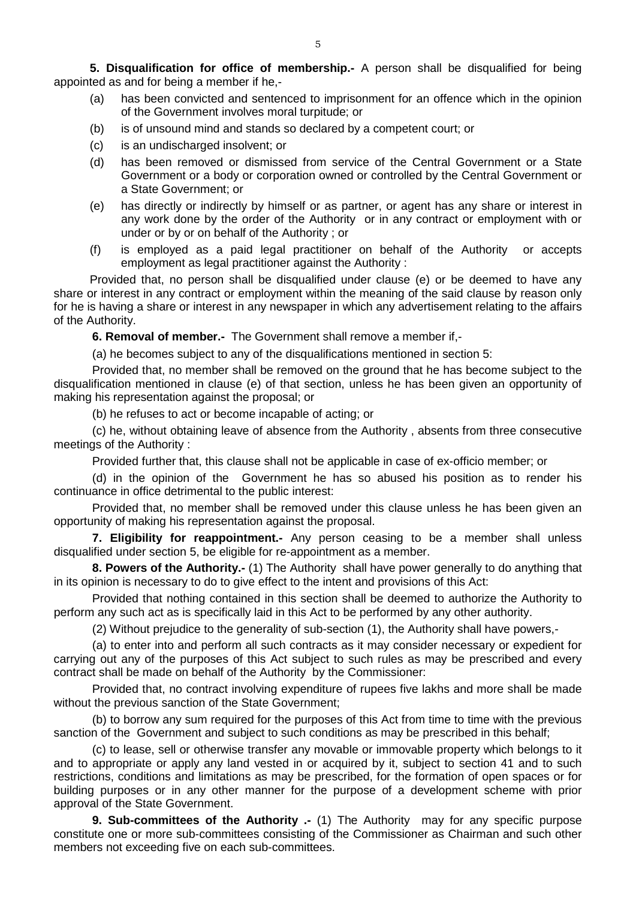**5. Disqualification for office of membership.-** A person shall be disqualified for being appointed as and for being a member if he,-

- <span id="page-4-0"></span>(a) has been convicted and sentenced to imprisonment for an offence which in the opinion of the Government involves moral turpitude; or
- (b) is of unsound mind and stands so declared by a competent court; or
- (c) is an undischarged insolvent; or
- (d) has been removed or dismissed from service of the Central Government or a State Government or a body or corporation owned or controlled by the Central Government or a State Government; or
- (e) has directly or indirectly by himself or as partner, or agent has any share or interest in any work done by the order of the Authority or in any contract or employment with or under or by or on behalf of the Authority ; or
- (f) is employed as a paid legal practitioner on behalf of the Authority or accepts employment as legal practitioner against the Authority :

Provided that, no person shall be disqualified under clause (e) or be deemed to have any share or interest in any contract or employment within the meaning of the said clause by reason only for he is having a share or interest in any newspaper in which any advertisement relating to the affairs of the Authority.

<span id="page-4-1"></span>**6. Removal of member.-** The Government shall remove a member if,-

(a) he becomes subject to any of the disqualifications mentioned in section 5:

Provided that, no member shall be removed on the ground that he has become subject to the disqualification mentioned in clause (e) of that section, unless he has been given an opportunity of making his representation against the proposal; or

(b) he refuses to act or become incapable of acting; or

(c) he, without obtaining leave of absence from the Authority , absents from three consecutive meetings of the Authority :

Provided further that, this clause shall not be applicable in case of ex-officio member; or

(d) in the opinion of the Government he has so abused his position as to render his continuance in office detrimental to the public interest:

Provided that, no member shall be removed under this clause unless he has been given an opportunity of making his representation against the proposal.

<span id="page-4-2"></span>**7. Eligibility for reappointment.-** Any person ceasing to be a member shall unless disqualified under section 5, be eligible for re-appointment as a member.

<span id="page-4-3"></span>**8. Powers of the Authority.-** (1) The Authority shall have power generally to do anything that in its opinion is necessary to do to give effect to the intent and provisions of this Act:

Provided that nothing contained in this section shall be deemed to authorize the Authority to perform any such act as is specifically laid in this Act to be performed by any other authority.

(2) Without prejudice to the generality of sub-section (1), the Authority shall have powers,-

(a) to enter into and perform all such contracts as it may consider necessary or expedient for carrying out any of the purposes of this Act subject to such rules as may be prescribed and every contract shall be made on behalf of the Authority by the Commissioner:

Provided that, no contract involving expenditure of rupees five lakhs and more shall be made without the previous sanction of the State Government;

(b) to borrow any sum required for the purposes of this Act from time to time with the previous sanction of the Government and subject to such conditions as may be prescribed in this behalf;

(c) to lease, sell or otherwise transfer any movable or immovable property which belongs to it and to appropriate or apply any land vested in or acquired by it, subject to section 41 and to such restrictions, conditions and limitations as may be prescribed, for the formation of open spaces or for building purposes or in any other manner for the purpose of a development scheme with prior approval of the State Government.

<span id="page-4-4"></span>**9. Sub-committees of the Authority .-** (1) The Authority may for any specific purpose constitute one or more sub-committees consisting of the Commissioner as Chairman and such other members not exceeding five on each sub-committees.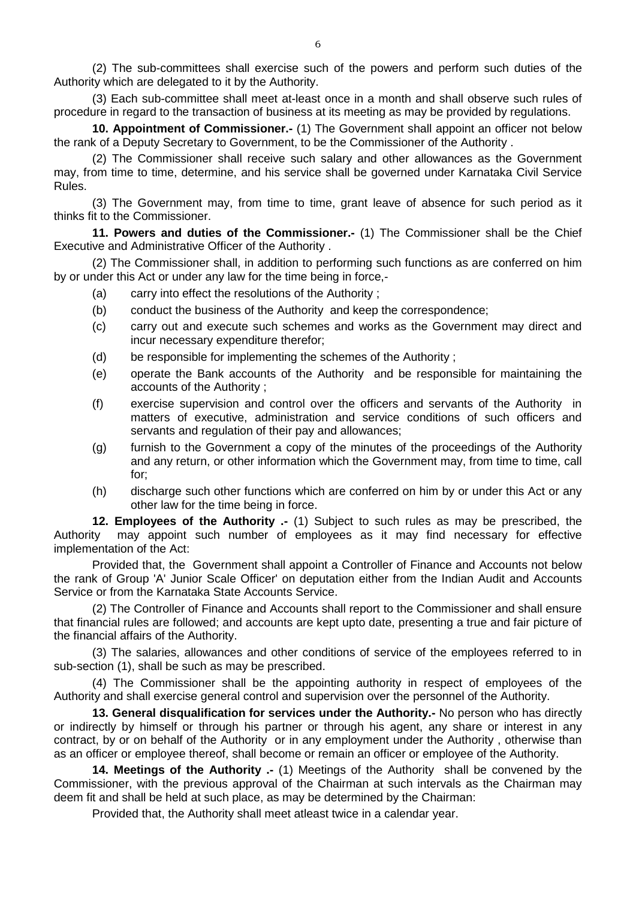(2) The sub-committees shall exercise such of the powers and perform such duties of the Authority which are delegated to it by the Authority.

(3) Each sub-committee shall meet at-least once in a month and shall observe such rules of procedure in regard to the transaction of business at its meeting as may be provided by regulations.

<span id="page-5-0"></span>**10. Appointment of Commissioner.-** (1) The Government shall appoint an officer not below the rank of a Deputy Secretary to Government, to be the Commissioner of the Authority .

(2) The Commissioner shall receive such salary and other allowances as the Government may, from time to time, determine, and his service shall be governed under Karnataka Civil Service Rules.

(3) The Government may, from time to time, grant leave of absence for such period as it thinks fit to the Commissioner.

<span id="page-5-1"></span>**11. Powers and duties of the Commissioner.-** (1) The Commissioner shall be the Chief Executive and Administrative Officer of the Authority .

(2) The Commissioner shall, in addition to performing such functions as are conferred on him by or under this Act or under any law for the time being in force,-

- (a) carry into effect the resolutions of the Authority ;
- (b) conduct the business of the Authority and keep the correspondence;
- (c) carry out and execute such schemes and works as the Government may direct and incur necessary expenditure therefor;
- (d) be responsible for implementing the schemes of the Authority ;
- (e) operate the Bank accounts of the Authority and be responsible for maintaining the accounts of the Authority ;
- (f) exercise supervision and control over the officers and servants of the Authority in matters of executive, administration and service conditions of such officers and servants and regulation of their pay and allowances:
- (g) furnish to the Government a copy of the minutes of the proceedings of the Authority and any return, or other information which the Government may, from time to time, call for;
- <span id="page-5-2"></span>(h) discharge such other functions which are conferred on him by or under this Act or any other law for the time being in force.

**12. Employees of the Authority .-** (1) Subject to such rules as may be prescribed, the Authority may appoint such number of employees as it may find necessary for effective may appoint such number of employees as it may find necessary for effective implementation of the Act:

Provided that, the Government shall appoint a Controller of Finance and Accounts not below the rank of Group 'A' Junior Scale Officer' on deputation either from the Indian Audit and Accounts Service or from the Karnataka State Accounts Service.

(2) The Controller of Finance and Accounts shall report to the Commissioner and shall ensure that financial rules are followed; and accounts are kept upto date, presenting a true and fair picture of the financial affairs of the Authority.

(3) The salaries, allowances and other conditions of service of the employees referred to in sub-section (1), shall be such as may be prescribed.

(4) The Commissioner shall be the appointing authority in respect of employees of the Authority and shall exercise general control and supervision over the personnel of the Authority.

<span id="page-5-3"></span>**13. General disqualification for services under the Authority.-** No person who has directly or indirectly by himself or through his partner or through his agent, any share or interest in any contract, by or on behalf of the Authority or in any employment under the Authority , otherwise than as an officer or employee thereof, shall become or remain an officer or employee of the Authority.

**14. Meetings of the Authority .-** (1) Meetings of the Authority shall be convened by the Commissioner, with the previous approval of the Chairman at such intervals as the Chairman may deem fit and shall be held at such place, as may be determined by the Chairman:

<span id="page-5-4"></span>Provided that, the Authority shall meet atleast twice in a calendar year.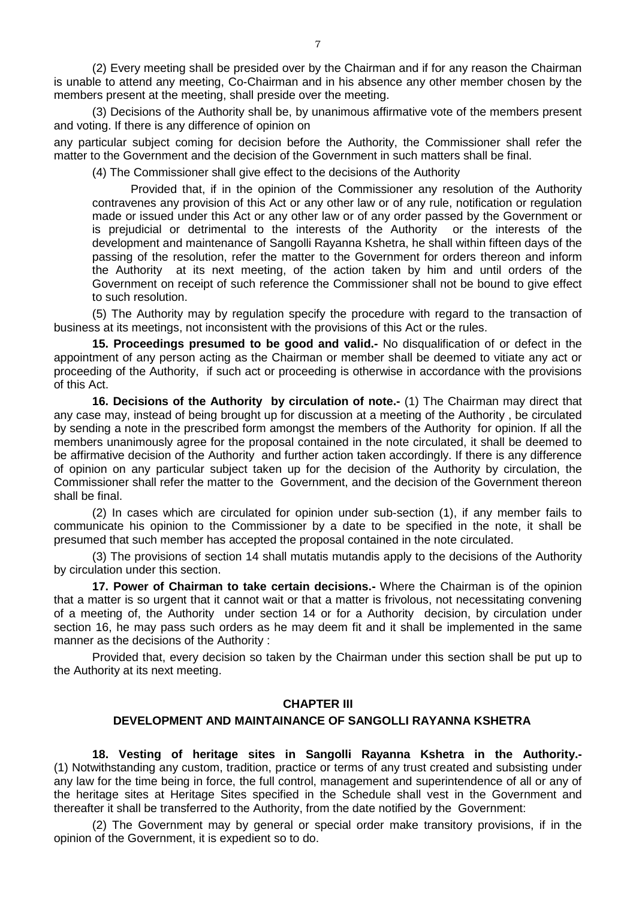(2) Every meeting shall be presided over by the Chairman and if for any reason the Chairman is unable to attend any meeting, Co-Chairman and in his absence any other member chosen by the members present at the meeting, shall preside over the meeting.

(3) Decisions of the Authority shall be, by unanimous affirmative vote of the members present and voting. If there is any difference of opinion on

any particular subject coming for decision before the Authority, the Commissioner shall refer the matter to the Government and the decision of the Government in such matters shall be final.

(4) The Commissioner shall give effect to the decisions of the Authority

Provided that, if in the opinion of the Commissioner any resolution of the Authority contravenes any provision of this Act or any other law or of any rule, notification or regulation made or issued under this Act or any other law or of any order passed by the Government or is prejudicial or detrimental to the interests of the Authority or the interests of the development and maintenance of Sangolli Rayanna Kshetra, he shall within fifteen days of the passing of the resolution, refer the matter to the Government for orders thereon and inform the Authority at its next meeting, of the action taken by him and until orders of the Government on receipt of such reference the Commissioner shall not be bound to give effect to such resolution.

(5) The Authority may by regulation specify the procedure with regard to the transaction of business at its meetings, not inconsistent with the provisions of this Act or the rules.

<span id="page-6-0"></span>**15. Proceedings presumed to be good and valid.-** No disqualification of or defect in the appointment of any person acting as the Chairman or member shall be deemed to vitiate any act or proceeding of the Authority, if such act or proceeding is otherwise in accordance with the provisions of this Act.

<span id="page-6-1"></span>**16. Decisions of the Authority by circulation of note.-** (1) The Chairman may direct that any case may, instead of being brought up for discussion at a meeting of the Authority , be circulated by sending a note in the prescribed form amongst the members of the Authority for opinion. If all the members unanimously agree for the proposal contained in the note circulated, it shall be deemed to be affirmative decision of the Authority and further action taken accordingly. If there is any difference of opinion on any particular subject taken up for the decision of the Authority by circulation, the Commissioner shall refer the matter to the Government, and the decision of the Government thereon shall be final.

(2) In cases which are circulated for opinion under sub-section (1), if any member fails to communicate his opinion to the Commissioner by a date to be specified in the note, it shall be presumed that such member has accepted the proposal contained in the note circulated.

(3) The provisions of section 14 shall mutatis mutandis apply to the decisions of the Authority by circulation under this section.

<span id="page-6-2"></span>**17. Power of Chairman to take certain decisions.-** Where the Chairman is of the opinion that a matter is so urgent that it cannot wait or that a matter is frivolous, not necessitating convening of a meeting of, the Authority under section 14 or for a Authority decision, by circulation under section 16, he may pass such orders as he may deem fit and it shall be implemented in the same manner as the decisions of the Authority :

Provided that, every decision so taken by the Chairman under this section shall be put up to the Authority at its next meeting.

#### **CHAPTER III**

#### <span id="page-6-3"></span> **DEVELOPMENT AND MAINTAINANCE OF SANGOLLI RAYANNA KSHETRA**

**18. Vesting of heritage sites in Sangolli Rayanna Kshetra in the Authority.-** (1) Notwithstanding any custom, tradition, practice or terms of any trust created and subsisting under any law for the time being in force, the full control, management and superintendence of all or any of the heritage sites at Heritage Sites specified in the Schedule shall vest in the Government and thereafter it shall be transferred to the Authority, from the date notified by the Government:

(2) The Government may by general or special order make transitory provisions, if in the opinion of the Government, it is expedient so to do.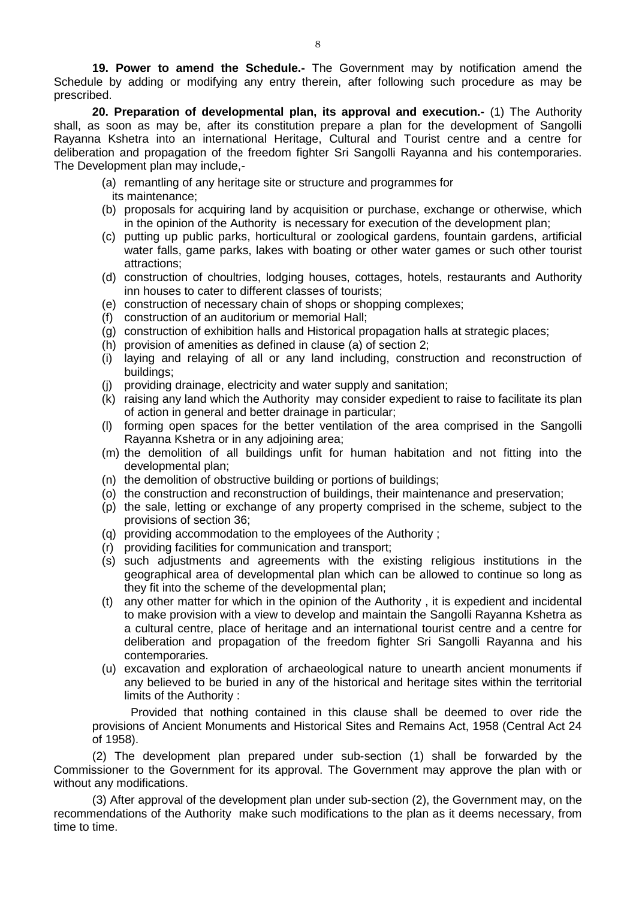<span id="page-7-0"></span>**19. Power to amend the Schedule.-** The Government may by notification amend the Schedule by adding or modifying any entry therein, after following such procedure as may be prescribed.

<span id="page-7-1"></span>**20. Preparation of developmental plan, its approval and execution.-** (1) The Authority shall, as soon as may be, after its constitution prepare a plan for the development of Sangolli Rayanna Kshetra into an international Heritage, Cultural and Tourist centre and a centre for deliberation and propagation of the freedom fighter Sri Sangolli Rayanna and his contemporaries. The Development plan may include,-

- (a) remantling of any heritage site or structure and programmes for its maintenance;
- (b) proposals for acquiring land by acquisition or purchase, exchange or otherwise, which in the opinion of the Authority is necessary for execution of the development plan;
- (c) putting up public parks, horticultural or zoological gardens, fountain gardens, artificial water falls, game parks, lakes with boating or other water games or such other tourist attractions;
- (d) construction of choultries, lodging houses, cottages, hotels, restaurants and Authority inn houses to cater to different classes of tourists;
- (e) construction of necessary chain of shops or shopping complexes;
- (f) construction of an auditorium or memorial Hall;
- (g) construction of exhibition halls and Historical propagation halls at strategic places;
- (h) provision of amenities as defined in clause (a) of section 2;
- (i) laying and relaying of all or any land including, construction and reconstruction of buildings;
- (j) providing drainage, electricity and water supply and sanitation;
- (k) raising any land which the Authority may consider expedient to raise to facilitate its plan of action in general and better drainage in particular;
- (l) forming open spaces for the better ventilation of the area comprised in the Sangolli Rayanna Kshetra or in any adjoining area;
- (m) the demolition of all buildings unfit for human habitation and not fitting into the developmental plan;
- (n) the demolition of obstructive building or portions of buildings;
- (o) the construction and reconstruction of buildings, their maintenance and preservation;
- (p) the sale, letting or exchange of any property comprised in the scheme, subject to the provisions of section 36;
- (q) providing accommodation to the employees of the Authority ;
- (r) providing facilities for communication and transport;
- (s) such adjustments and agreements with the existing religious institutions in the geographical area of developmental plan which can be allowed to continue so long as they fit into the scheme of the developmental plan;
- (t) any other matter for which in the opinion of the Authority , it is expedient and incidental to make provision with a view to develop and maintain the Sangolli Rayanna Kshetra as a cultural centre, place of heritage and an international tourist centre and a centre for deliberation and propagation of the freedom fighter Sri Sangolli Rayanna and his contemporaries.
- (u) excavation and exploration of archaeological nature to unearth ancient monuments if any believed to be buried in any of the historical and heritage sites within the territorial limits of the Authority :

Provided that nothing contained in this clause shall be deemed to over ride the provisions of Ancient Monuments and Historical Sites and Remains Act, 1958 (Central Act 24 of 1958).

(2) The development plan prepared under sub-section (1) shall be forwarded by the Commissioner to the Government for its approval. The Government may approve the plan with or without any modifications.

(3) After approval of the development plan under sub-section (2), the Government may, on the recommendations of the Authority make such modifications to the plan as it deems necessary, from time to time.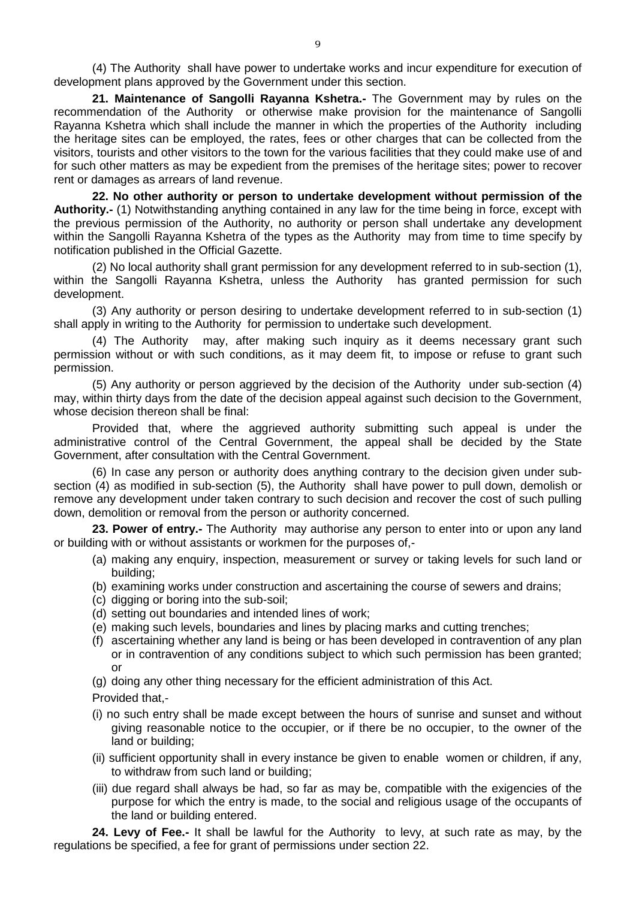(4) The Authority shall have power to undertake works and incur expenditure for execution of development plans approved by the Government under this section.

<span id="page-8-0"></span>**21. Maintenance of Sangolli Rayanna Kshetra.-** The Government may by rules on the recommendation of the Authority or otherwise make provision for the maintenance of Sangolli Rayanna Kshetra which shall include the manner in which the properties of the Authority including the heritage sites can be employed, the rates, fees or other charges that can be collected from the visitors, tourists and other visitors to the town for the various facilities that they could make use of and for such other matters as may be expedient from the premises of the heritage sites; power to recover rent or damages as arrears of land revenue.

<span id="page-8-1"></span>**22. No other authority or person to undertake development without permission of the Authority.-** (1) Notwithstanding anything contained in any law for the time being in force, except with the previous permission of the Authority, no authority or person shall undertake any development within the Sangolli Rayanna Kshetra of the types as the Authority may from time to time specify by notification published in the Official Gazette.

(2) No local authority shall grant permission for any development referred to in sub-section (1), within the Sangolli Rayanna Kshetra, unless the Authority has granted permission for such development.

(3) Any authority or person desiring to undertake development referred to in sub-section (1) shall apply in writing to the Authority for permission to undertake such development.

(4) The Authority may, after making such inquiry as it deems necessary grant such permission without or with such conditions, as it may deem fit, to impose or refuse to grant such permission.

(5) Any authority or person aggrieved by the decision of the Authority under sub-section (4) may, within thirty days from the date of the decision appeal against such decision to the Government, whose decision thereon shall be final:

Provided that, where the aggrieved authority submitting such appeal is under the administrative control of the Central Government, the appeal shall be decided by the State Government, after consultation with the Central Government.

(6) In case any person or authority does anything contrary to the decision given under subsection (4) as modified in sub-section (5), the Authority shall have power to pull down, demolish or remove any development under taken contrary to such decision and recover the cost of such pulling down, demolition or removal from the person or authority concerned.

**23. Power of entry.-** The Authority may authorise any person to enter into or upon any land or building with or without assistants or workmen for the purposes of,-

- <span id="page-8-2"></span>(a) making any enquiry, inspection, measurement or survey or taking levels for such land or building;
- (b) examining works under construction and ascertaining the course of sewers and drains;
- (c) digging or boring into the sub-soil;
- (d) setting out boundaries and intended lines of work;
- (e) making such levels, boundaries and lines by placing marks and cutting trenches;
- (f) ascertaining whether any land is being or has been developed in contravention of any plan or in contravention of any conditions subject to which such permission has been granted; or
- (g) doing any other thing necessary for the efficient administration of this Act.

Provided that,-

- (i) no such entry shall be made except between the hours of sunrise and sunset and without giving reasonable notice to the occupier, or if there be no occupier, to the owner of the land or building;
- (ii) sufficient opportunity shall in every instance be given to enable women or children, if any, to withdraw from such land or building;
- <span id="page-8-3"></span>(iii) due regard shall always be had, so far as may be, compatible with the exigencies of the purpose for which the entry is made, to the social and religious usage of the occupants of the land or building entered.

**24. Levy of Fee.-** It shall be lawful for the Authority to levy, at such rate as may, by the regulations be specified, a fee for grant of permissions under section 22.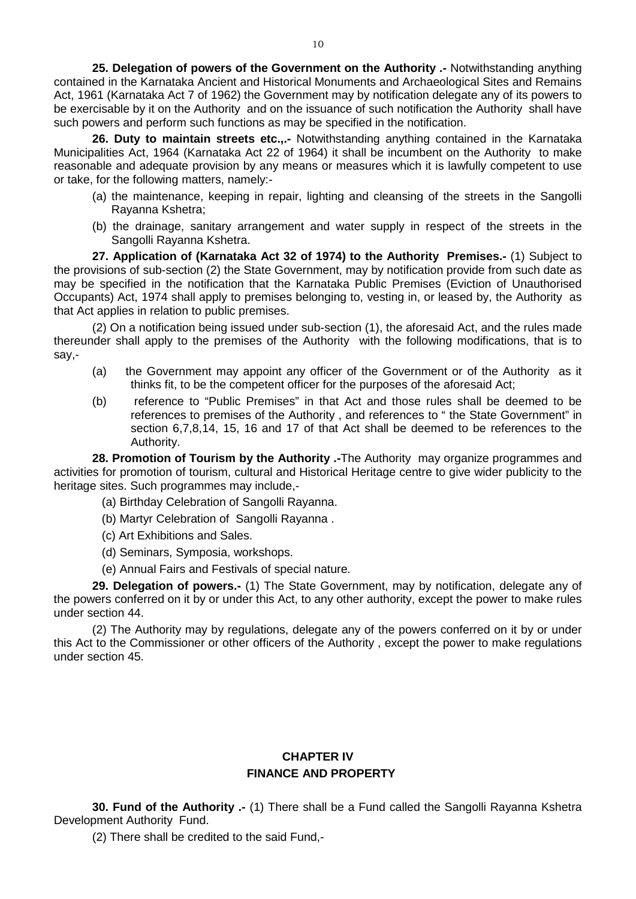<span id="page-9-0"></span>**25. Delegation of powers of the Government on the Authority .-** Notwithstanding anything contained in the Karnataka Ancient and Historical Monuments and Archaeological Sites and Remains Act, 1961 (Karnataka Act 7 of 1962) the Government may by notification delegate any of its powers to be exercisable by it on the Authority and on the issuance of such notification the Authority shall have such powers and perform such functions as may be specified in the notification.

<span id="page-9-1"></span>**26. Duty to maintain streets etc.,.-** Notwithstanding anything contained in the Karnataka Municipalities Act, 1964 (Karnataka Act 22 of 1964) it shall be incumbent on the Authority to make reasonable and adequate provision by any means or measures which it is lawfully competent to use or take, for the following matters, namely:-

- (a) the maintenance, keeping in repair, lighting and cleansing of the streets in the Sangolli Rayanna Kshetra;
- <span id="page-9-2"></span>(b) the drainage, sanitary arrangement and water supply in respect of the streets in the Sangolli Rayanna Kshetra.

**27. Application of (Karnataka Act 32 of 1974) to the Authority Premises.-** (1) Subject to the provisions of sub-section (2) the State Government, may by notification provide from such date as may be specified in the notification that the Karnataka Public Premises (Eviction of Unauthorised Occupants) Act, 1974 shall apply to premises belonging to, vesting in, or leased by, the Authority as that Act applies in relation to public premises.

(2) On a notification being issued under sub-section (1), the aforesaid Act, and the rules made thereunder shall apply to the premises of the Authority with the following modifications, that is to say,-

- (a) the Government may appoint any officer of the Government or of the Authority as it thinks fit, to be the competent officer for the purposes of the aforesaid Act;
- (b) reference to "Public Premises" in that Act and those rules shall be deemed to be references to premises of the Authority , and references to " the State Government" in section 6,7,8,14, 15, 16 and 17 of that Act shall be deemed to be references to the Authority.

**28. Promotion of Tourism by the Authority .-**The Authority may organize programmes and activities for promotion of tourism, cultural and Historical Heritage centre to give wider publicity to the heritage sites. Such programmes may include,-

- <span id="page-9-3"></span>(a) Birthday Celebration of Sangolli Rayanna.
- (b) Martyr Celebration of Sangolli Rayanna .
- (c) Art Exhibitions and Sales.
- (d) Seminars, Symposia, workshops.
- <span id="page-9-4"></span>(e) Annual Fairs and Festivals of special nature.

**29. Delegation of powers.-** (1) The State Government, may by notification, delegate any of the powers conferred on it by or under this Act, to any other authority, except the power to make rules under section 44.

(2) The Authority may by regulations, delegate any of the powers conferred on it by or under this Act to the Commissioner or other officers of the Authority , except the power to make regulations under section 45.

## **CHAPTER IV FINANCE AND PROPERTY**

**30. Fund of the Authority .-** (1) There shall be a Fund called the Sangolli Rayanna Kshetra Development Authority Fund.

<span id="page-9-5"></span>(2) There shall be credited to the said Fund,-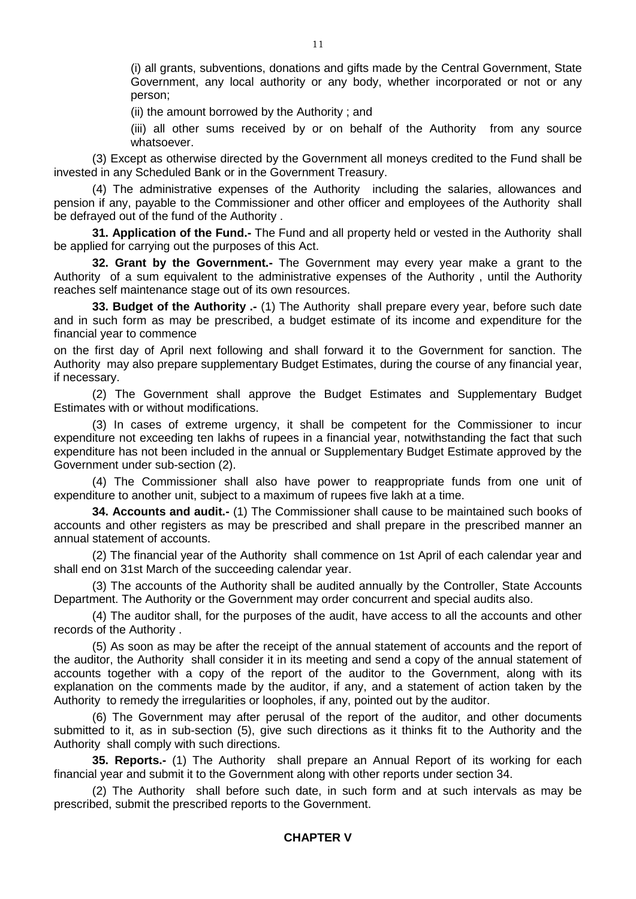(i) all grants, subventions, donations and gifts made by the Central Government, State Government, any local authority or any body, whether incorporated or not or any person;

(ii) the amount borrowed by the Authority ; and

(iii) all other sums received by or on behalf of the Authority from any source whatsoever.

(3) Except as otherwise directed by the Government all moneys credited to the Fund shall be invested in any Scheduled Bank or in the Government Treasury.

(4) The administrative expenses of the Authority including the salaries, allowances and pension if any, payable to the Commissioner and other officer and employees of the Authority shall be defrayed out of the fund of the Authority .

<span id="page-10-0"></span>**31. Application of the Fund.-** The Fund and all property held or vested in the Authority shall be applied for carrying out the purposes of this Act.

<span id="page-10-1"></span>**32. Grant by the Government.-** The Government may every year make a grant to the Authority of a sum equivalent to the administrative expenses of the Authority , until the Authority reaches self maintenance stage out of its own resources.

<span id="page-10-2"></span>**33. Budget of the Authority .-** (1) The Authority shall prepare every year, before such date and in such form as may be prescribed, a budget estimate of its income and expenditure for the financial year to commence

on the first day of April next following and shall forward it to the Government for sanction. The Authority may also prepare supplementary Budget Estimates, during the course of any financial year, if necessary.

(2) The Government shall approve the Budget Estimates and Supplementary Budget Estimates with or without modifications.

(3) In cases of extreme urgency, it shall be competent for the Commissioner to incur expenditure not exceeding ten lakhs of rupees in a financial year, notwithstanding the fact that such expenditure has not been included in the annual or Supplementary Budget Estimate approved by the Government under sub-section (2).

(4) The Commissioner shall also have power to reappropriate funds from one unit of expenditure to another unit, subject to a maximum of rupees five lakh at a time.

<span id="page-10-3"></span>**34. Accounts and audit.-** (1) The Commissioner shall cause to be maintained such books of accounts and other registers as may be prescribed and shall prepare in the prescribed manner an annual statement of accounts.

(2) The financial year of the Authority shall commence on 1st April of each calendar year and shall end on 31st March of the succeeding calendar year.

(3) The accounts of the Authority shall be audited annually by the Controller, State Accounts Department. The Authority or the Government may order concurrent and special audits also.

(4) The auditor shall, for the purposes of the audit, have access to all the accounts and other records of the Authority .

(5) As soon as may be after the receipt of the annual statement of accounts and the report of the auditor, the Authority shall consider it in its meeting and send a copy of the annual statement of accounts together with a copy of the report of the auditor to the Government, along with its explanation on the comments made by the auditor, if any, and a statement of action taken by the Authority to remedy the irregularities or loopholes, if any, pointed out by the auditor.

(6) The Government may after perusal of the report of the auditor, and other documents submitted to it, as in sub-section (5), give such directions as it thinks fit to the Authority and the Authority shall comply with such directions.

<span id="page-10-4"></span>**35. Reports.-** (1) The Authority shall prepare an Annual Report of its working for each financial year and submit it to the Government along with other reports under section 34.

(2) The Authority shall before such date, in such form and at such intervals as may be prescribed, submit the prescribed reports to the Government.

## **CHAPTER V**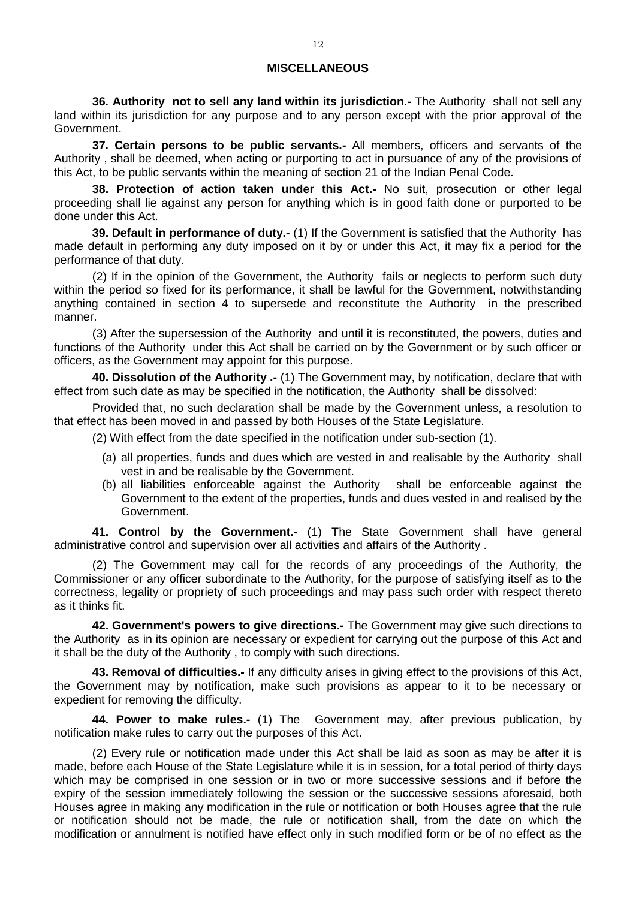#### **MISCELLANEOUS**

<span id="page-11-0"></span>**36. Authority not to sell any land within its jurisdiction.-** The Authority shall not sell any land within its jurisdiction for any purpose and to any person except with the prior approval of the Government.

<span id="page-11-1"></span>**37. Certain persons to be public servants.-** All members, officers and servants of the Authority , shall be deemed, when acting or purporting to act in pursuance of any of the provisions of this Act, to be public servants within the meaning of section 21 of the Indian Penal Code.

<span id="page-11-2"></span>**38. Protection of action taken under this Act.-** No suit, prosecution or other legal proceeding shall lie against any person for anything which is in good faith done or purported to be done under this Act.

<span id="page-11-3"></span>**39. Default in performance of duty.-** (1) If the Government is satisfied that the Authority has made default in performing any duty imposed on it by or under this Act, it may fix a period for the performance of that duty.

(2) If in the opinion of the Government, the Authority fails or neglects to perform such duty within the period so fixed for its performance, it shall be lawful for the Government, notwithstanding anything contained in section 4 to supersede and reconstitute the Authority in the prescribed manner.

(3) After the supersession of the Authority and until it is reconstituted, the powers, duties and functions of the Authority under this Act shall be carried on by the Government or by such officer or officers, as the Government may appoint for this purpose.

<span id="page-11-4"></span>**40. Dissolution of the Authority .-** (1) The Government may, by notification, declare that with effect from such date as may be specified in the notification, the Authority shall be dissolved:

Provided that, no such declaration shall be made by the Government unless, a resolution to that effect has been moved in and passed by both Houses of the State Legislature.

- (2) With effect from the date specified in the notification under sub-section (1).
	- (a) all properties, funds and dues which are vested in and realisable by the Authority shall vest in and be realisable by the Government.
	- (b) all liabilities enforceable against the Authority shall be enforceable against the Government to the extent of the properties, funds and dues vested in and realised by the Government.

<span id="page-11-5"></span>**41. Control by the Government.-** (1) The State Government shall have general administrative control and supervision over all activities and affairs of the Authority .

(2) The Government may call for the records of any proceedings of the Authority, the Commissioner or any officer subordinate to the Authority, for the purpose of satisfying itself as to the correctness, legality or propriety of such proceedings and may pass such order with respect thereto as it thinks fit.

<span id="page-11-6"></span>**42. Government's powers to give directions.-** The Government may give such directions to the Authority as in its opinion are necessary or expedient for carrying out the purpose of this Act and it shall be the duty of the Authority , to comply with such directions.

<span id="page-11-7"></span>**43. Removal of difficulties.-** If any difficulty arises in giving effect to the provisions of this Act, the Government may by notification, make such provisions as appear to it to be necessary or expedient for removing the difficulty.

<span id="page-11-8"></span>**44. Power to make rules.-** (1) The Government may, after previous publication, by notification make rules to carry out the purposes of this Act.

(2) Every rule or notification made under this Act shall be laid as soon as may be after it is made, before each House of the State Legislature while it is in session, for a total period of thirty days which may be comprised in one session or in two or more successive sessions and if before the expiry of the session immediately following the session or the successive sessions aforesaid, both Houses agree in making any modification in the rule or notification or both Houses agree that the rule or notification should not be made, the rule or notification shall, from the date on which the modification or annulment is notified have effect only in such modified form or be of no effect as the